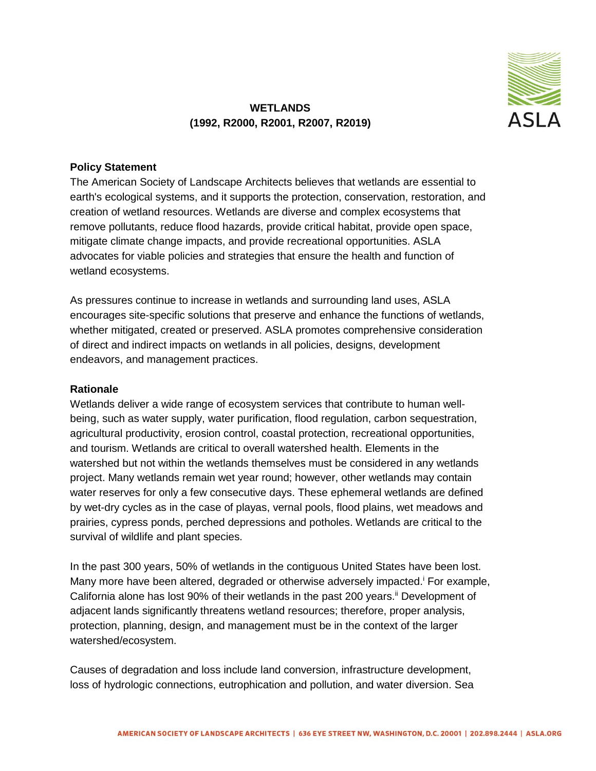

## **WETLANDS (1992, R2000, R2001, R2007, R2019)**

## **Policy Statement**

The American Society of Landscape Architects believes that wetlands are essential to earth's ecological systems, and it supports the protection, conservation, restoration, and creation of wetland resources. Wetlands are diverse and complex ecosystems that remove pollutants, reduce flood hazards, provide critical habitat, provide open space, mitigate climate change impacts, and provide recreational opportunities. ASLA advocates for viable policies and strategies that ensure the health and function of wetland ecosystems.

As pressures continue to increase in wetlands and surrounding land uses, ASLA encourages site-specific solutions that preserve and enhance the functions of wetlands, whether mitigated, created or preserved. ASLA promotes comprehensive consideration of direct and indirect impacts on wetlands in all policies, designs, development endeavors, and management practices.

## **Rationale**

Wetlands deliver a wide range of ecosystem services that contribute to human wellbeing, such as water supply, water purification, flood regulation, carbon sequestration, agricultural productivity, erosion control, coastal protection, recreational opportunities, and tourism. Wetlands are critical to overall watershed health. Elements in the watershed but not within the wetlands themselves must be considered in any wetlands project. Many wetlands remain wet year round; however, other wetlands may contain water reserves for only a few consecutive days. These ephemeral wetlands are defined by wet-dry cycles as in the case of playas, vernal pools, flood plains, wet meadows and prairies, cypress ponds, perched depressions and potholes. Wetlands are critical to the survival of wildlife and plant species.

In the past 300 years, 50% of wetlands in the contiguous United States have been lost. Many more have been altered, degraded or otherwise adversely impacted.<sup>i</sup> For example, California alone has lost 90% of their wetlands in the past 200 years.<sup>ii</sup> Development of adjacent lands significantly threatens wetland resources; therefore, proper analysis, protection, planning, design, and management must be in the context of the larger watershed/ecosystem.

Causes of degradation and loss include land conversion, infrastructure development, loss of hydrologic connections, eutrophication and pollution, and water diversion. Sea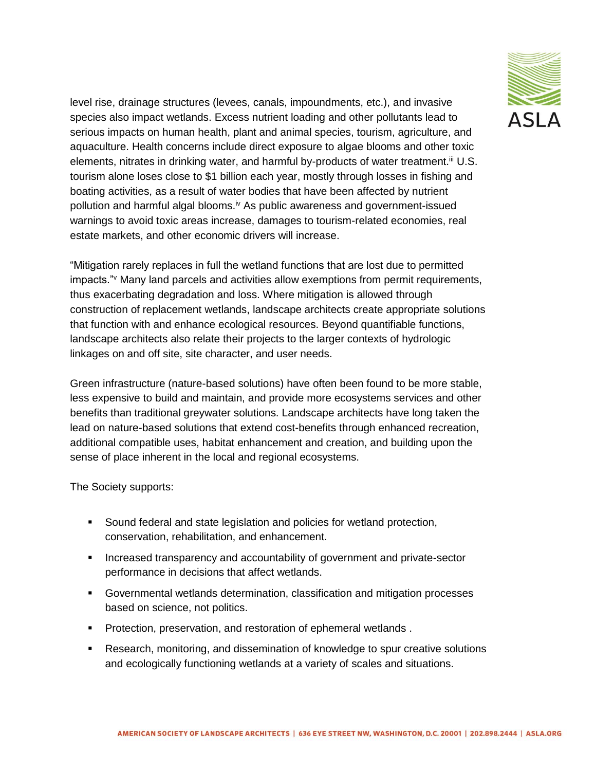

level rise, drainage structures (levees, canals, impoundments, etc.), and invasive species also impact wetlands. Excess nutrient loading and other pollutants lead to serious impacts on human health, plant and animal species, tourism, agriculture, and aquaculture. Health concerns include direct exposure to algae blooms and other toxic elements, nitrates in drinking water, and harmful by-products of water treatment.<sup>iii</sup> U.S. tourism alone loses close to \$1 billion each year, mostly through losses in fishing and boating activities, as a result of water bodies that have been affected by nutrient pollution and harmful algal blooms.<sup>iv</sup> As public awareness and government-issued warnings to avoid toxic areas increase, damages to tourism-related economies, real estate markets, and other economic drivers will increase.

"Mitigation rarely replaces in full the wetland functions that are lost due to permitted impacts."<sup>v</sup> Many land parcels and activities allow exemptions from permit requirements, thus exacerbating degradation and loss. Where mitigation is allowed through construction of replacement wetlands, landscape architects create appropriate solutions that function with and enhance ecological resources. Beyond quantifiable functions, landscape architects also relate their projects to the larger contexts of hydrologic linkages on and off site, site character, and user needs.

Green infrastructure (nature-based solutions) have often been found to be more stable, less expensive to build and maintain, and provide more ecosystems services and other benefits than traditional greywater solutions. Landscape architects have long taken the lead on nature-based solutions that extend cost-benefits through enhanced recreation, additional compatible uses, habitat enhancement and creation, and building upon the sense of place inherent in the local and regional ecosystems.

The Society supports:

- Sound federal and state legislation and policies for wetland protection, conservation, rehabilitation, and enhancement.
- **Increased transparency and accountability of government and private-sector** performance in decisions that affect wetlands.
- Governmental wetlands determination, classification and mitigation processes based on science, not politics.
- **Protection, preservation, and restoration of ephemeral wetlands.**
- Research, monitoring, and dissemination of knowledge to spur creative solutions and ecologically functioning wetlands at a variety of scales and situations.